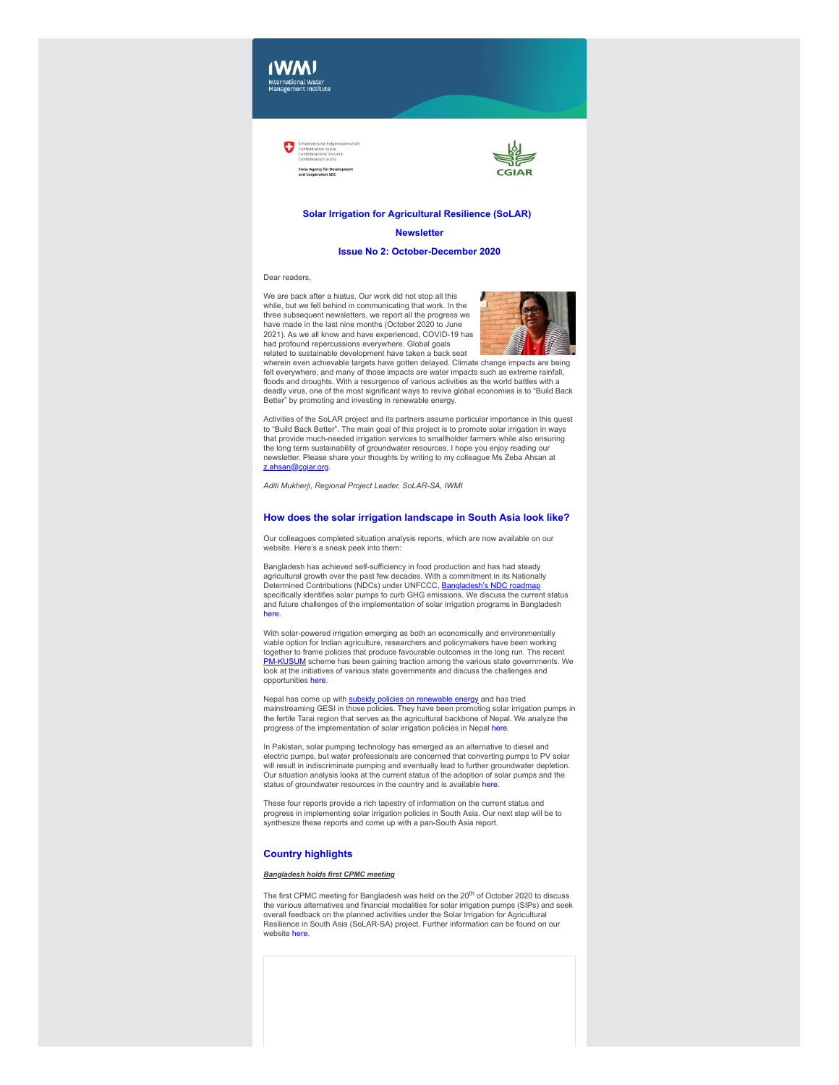



# **Solar Irrigation for Agricultural Resilience (SoLAR)**

## **Newsletter**

### **Issue No 2: October-December 2020**

## Dear readers,

We are back after a hiatus. Our work did not stop all this while, but we fell behind in communicating that work. In the three subsequent newsletters, we report all the progress we have made in the last nine months (October 2020 to June 2021). As we all know and have experienced, COVID-19 has had profound repercussions everywhere. Global goals related to sustainable development have taken a back seat



wherein even achievable targets have gotten delayed. Climate change impacts are being felt everywhere, and many of those impacts are water impacts such as extreme rainfall, floods and droughts. With a resurgence of various activities as the world battles with a deadly virus, one of the most significant ways to revive global economies is to "Build Back Better" by promoting and investing in renewable energy.

Activities of the SoLAR project and its partners assume particular importance in this quest to "Build Back Better". The main goal of this project is to promote solar irrigation in ways that provide much-needed irrigation services to smallholder farmers while also ensuring the long term sustainability of groundwater resources. I hope you enjoy reading our newsletter. Please share your thoughts by writing to my colleague Ms Zeba Ahsan at [z.ahsan@cgiar.org.](mailto:z.ahsan@cgiar.org)

*Aditi Mukherji, Regional Project Leader, SoLAR-SA, IWMI*

# **How does the solar irrigation landscape in South Asia look like?**

Our colleagues completed situation analysis reports, which are now available on our website. Here's a sneak peek into them:

Bangladesh has achieved self-sufficiency in food production and has had steady agricultural growth over the past few decades. With a commitment in its Nationally Determined Contributions (NDCs) under UNFCCC, [Bangladesh's NDC roadmap](https://clt1364917.bmetrack.com/c/l?u=C95A55C&e=12C9E22&c=14D3B5&t=1&email=rCl6ZXzNdYXAlaa8rt3zZVChLVqEDDIg&seq=1) specifically identifies solar pumps to curb GHG emissions. We discuss the current status and future challenges of the implementation of solar irrigation programs in Bangladesh [here.](https://clt1364917.bmetrack.com/c/l?u=CB507AD&e=12C9E22&c=14D3B5&t=1&email=rCl6ZXzNdYXAlaa8rt3zZVChLVqEDDIg&seq=1)

With solar-powered irrigation emerging as both an economically and environmentally viable option for Indian agriculture, researchers and policymakers have been working together to frame policies that produce favourable outcomes in the long run. The recent [PM-KUSUM](https://clt1364917.bmetrack.com/c/l?u=C97542E&e=12C9E22&c=14D3B5&t=1&email=rCl6ZXzNdYXAlaa8rt3zZVChLVqEDDIg&seq=1) scheme has been gaining traction among the various state governments. We look at the initiatives of various state governments and discuss the challenges and opportunities [here.](https://clt1364917.bmetrack.com/c/l?u=CB507AD&e=12C9E22&c=14D3B5&t=1&email=rCl6ZXzNdYXAlaa8rt3zZVChLVqEDDIg&seq=2)

Nepal has come up with [subsidy policies on renewable energy](https://clt1364917.bmetrack.com/c/l?u=C97542F&e=12C9E22&c=14D3B5&t=1&email=rCl6ZXzNdYXAlaa8rt3zZVChLVqEDDIg&seq=1) and has tried mainstreaming GESI in those policies. They have been promoting solar irrigation pumps in the fertile Tarai region that serves as the agricultural backbone of Nepal. We analyze the progress of the implementation of solar irrigation policies in Nepal [here](https://clt1364917.bmetrack.com/c/l?u=CB507AD&e=12C9E22&c=14D3B5&t=1&email=rCl6ZXzNdYXAlaa8rt3zZVChLVqEDDIg&seq=3).

In Pakistan, solar pumping technology has emerged as an alternative to diesel and electric pumps, but water professionals are concerned that converting pumps to PV solar will result in indiscriminate pumping and eventually lead to further groundwater depletion. Our situation analysis looks at the current status of the adoption of solar pumps and the status of groundwater resources in the country and is available [here](https://clt1364917.bmetrack.com/c/l?u=CB507AD&e=12C9E22&c=14D3B5&t=1&email=rCl6ZXzNdYXAlaa8rt3zZVChLVqEDDIg&seq=4).

These four reports provide a rich tapestry of information on the current status and progress in implementing solar irrigation policies in South Asia. Our next step will be to synthesize these reports and come up with a pan-South Asia report.

# **Country highlights**

## *Bangladesh holds first CPMC meeting*

The first CPMC meeting for Bangladesh was held on the 20<sup>th</sup> of October 2020 to discuss the various alternatives and financial modalities for solar irrigation pumps (SIPs) and seek overall feedback on the planned activities under the Solar Irrigation for Agricultural Resilience in South Asia (SoLAR-SA) project. Further information can be found on our website [here.](https://clt1364917.bmetrack.com/c/l?u=CB507AF&e=12C9E22&c=14D3B5&t=1&email=rCl6ZXzNdYXAlaa8rt3zZVChLVqEDDIg&seq=1)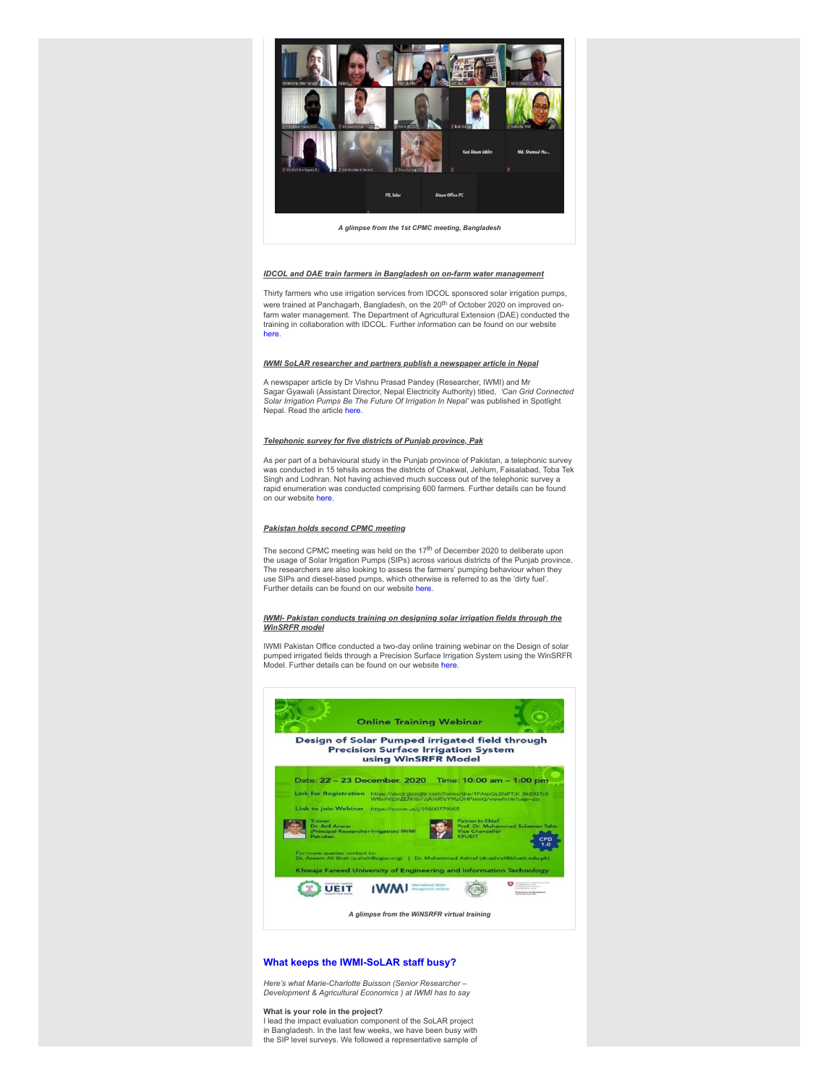

*A glimpse from the 1st CPMC meeting, Bangladesh*

## *IDCOL and DAE train farmers in Bangladesh on on-farm water management*

Thirty farmers who use irrigation services from IDCOL sponsored solar irrigation pumps, were trained at Panchagarh, Bangladesh, on the 20<sup>th</sup> of October 2020 on improved onfarm water management. The Department of Agricultural Extension (DAE) conducted the training in collaboration with IDCOL. Further information can be found on our website [here.](https://clt1364917.bmetrack.com/c/l?u=CB507AF&e=12C9E22&c=14D3B5&t=1&email=rCl6ZXzNdYXAlaa8rt3zZVChLVqEDDIg&seq=2)

#### *IWMI SoLAR researcher and partners publish a newspaper article in Nepal*

A newspaper article by Dr Vishnu Prasad Pandey (Researcher, IWMI) and Mr Sagar Gyawali (Assistant Director, Nepal Electricity Authority) titled, *'Can Grid Connected*<br>*Solar Irrigation Pumps Be The Future Of Irrigation In Nepal'* was published in Spotlight Nepal. Read the article [here](https://clt1364917.bmetrack.com/c/l?u=C99DDC1&e=12C9E22&c=14D3B5&t=1&email=rCl6ZXzNdYXAlaa8rt3zZVChLVqEDDIg&seq=1).

## *Telephonic survey for five districts of Punjab province, Pak*

As per part of a behavioural study in the Punjab province of Pakistan, a telephonic survey was conducted in 15 tehsils across the districts of Chakwal, Jehlum, Faisalabad, Toba Tek Singh and Lodhran. Not having achieved much success out of the telephonic survey a rapid enumeration was conducted comprising 600 farmers. Further details can be found on our website [here](https://clt1364917.bmetrack.com/c/l?u=CB507AE&e=12C9E22&c=14D3B5&t=1&email=rCl6ZXzNdYXAlaa8rt3zZVChLVqEDDIg&seq=1).

## *Pakistan holds second CPMC meeting*

The second CPMC meeting was held on the 17<sup>th</sup> of December 2020 to deliberate upon the usage of Solar Irrigation Pumps (SIPs) across various districts of the Punjab province. The researchers are also looking to assess the farmers' pumping behaviour when they use SIPs and diesel-based pumps, which otherwise is referred to as the 'dirty fuel'. Further details can be found on our website [here.](https://clt1364917.bmetrack.com/c/l?u=CB507AE&e=12C9E22&c=14D3B5&t=1&email=rCl6ZXzNdYXAlaa8rt3zZVChLVqEDDIg&seq=2)

## *IWMI- Pakistan conducts training on designing solar irrigation fields through the WinSRFR model*

IWMI Pakistan Office conducted a two-day online training webinar on the Design of solar pumped irrigated fields through a Precision Surface Irrigation System using the WinSRFR<br>Model. Further details can be found on our website [here.](https://clt1364917.bmetrack.com/c/l?u=CB507AE&e=12C9E22&c=14D3B5&t=1&email=rCl6ZXzNdYXAlaa8rt3zZVChLVqEDDIg&seq=3)



# **What keeps the IWMI-SoLAR staff busy?**

*Here's what Marie-Charlotte Buisson (Senior Researcher – Development & Agricultural Economics ) at IWMI has to say*

## **What is your role in the project?**

I lead the impact evaluation component of the SoLAR project in Bangladesh. In the last few weeks, we have been busy with the SIP level surveys. We followed a representative sample of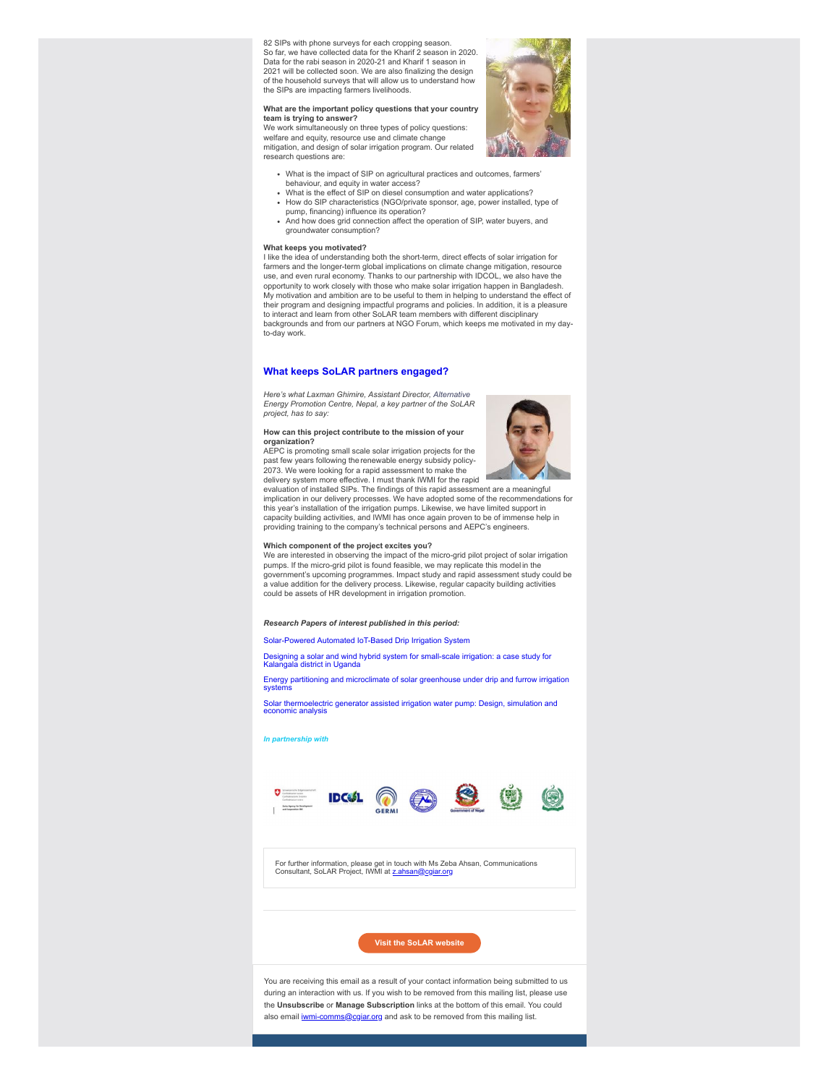82 SIPs with phone surveys for each cropping season. So far, we have collected data for the Kharif 2 season in 2020. Data for the rabi season in 2020-21 and Kharif 1 season in 2021 will be collected soon. We are also finalizing the design of the household surveys that will allow us to understand how the SIPs are impacting farmers livelihoods.

## **What are the important policy questions that your country team is trying to answer?**

We work simultaneously on three types of policy questions: welfare and equity, resource use and climate change mitigation, and design of solar irrigation program. Our related research questions are:



- What is the impact of SIP on agricultural practices and outcomes, farmers'
- behaviour, and equity in water access?<br>What is the effect of SIP on diesel consumption and water applications?
- How do SIP characteristics (NGO/private sponsor, age, power installed, type of pump, financing) influence its operation?
- And how does grid connection affect the operation of SIP, water buyers, and groundwater consumption?

**What keeps you motivated?** I like the idea of understanding both the short-term, direct effects of solar irrigation for farmers and the longer-term global implications on climate change mitigation, resource use, and even rural economy. Thanks to our partnership with IDCOL, we also have the opportunity to work closely with those who make solar irrigation happen in Bangladesh. My motivation and ambition are to be useful to them in helping to understand the effect of their program and designing impactful programs and policies. In addition, it is a pleasure to interact and learn from other SoLAR team members with different disciplinary backgrounds and from our partners at NGO Forum, which keeps me motivated in my dayto-day work.

## **What keeps SoLAR partners engaged?**

*Here's what Laxman Ghimire, Assistant Director, Alternative Energy Promotion Centre, Nepal, a key partner of the SoLAR project, has to say:*

#### **How can this project contribute to the mission of your organization?**

AEPC is promoting small scale solar irrigation projects for the past few years following the renewable energy subsidy policy-2073. We were looking for a rapid assessment to make the delivery system more effective. I must thank IWMI for the rapid



evaluation of installed SIPs. The findings of this rapid assessment are a meaningful implication in our delivery processes. We have adopted some of the recommendations for this year's installation of the irrigation pumps. Likewise, we have limited support in capacity building activities, and IWMI has once again proven to be of immense help in providing training to the company's technical persons and AEPC's engineers.

## **Which component of the project excites you?**

We are interested in observing the impact of the micro-grid pilot project of solar irrigation pumps. If the micro-grid pilot is found feasible, we may replicate this model in the government's upcoming programmes. Impact study and rapid assessment study could be a value addition for the delivery process. Likewise, regular capacity building activities could be assets of HR development in irrigation promotion.

## *Research Papers of interest published in this period:*

[Solar-Powered Automated IoT-Based Drip Irrigation System](https://clt1364917.bmetrack.com/c/l?u=C9CF524&e=12C9E22&c=14D3B5&t=1&email=rCl6ZXzNdYXAlaa8rt3zZVChLVqEDDIg&seq=1)

[Designing a solar and wind hybrid system for small-scale irrigation: a case study for](https://clt1364917.bmetrack.com/c/l?u=C9CF525&e=12C9E22&c=14D3B5&t=1&email=rCl6ZXzNdYXAlaa8rt3zZVChLVqEDDIg&seq=1) Kalangala district in Uganda

[Energy partitioning and microclimate of solar greenhouse under drip and furrow irrigation](https://clt1364917.bmetrack.com/c/l?u=C9CF526&e=12C9E22&c=14D3B5&t=1&email=rCl6ZXzNdYXAlaa8rt3zZVChLVqEDDIg&seq=1) systems

[Solar thermoelectric generator assisted irrigation water pump: Design, simulation and](https://clt1364917.bmetrack.com/c/l?u=C9CF527&e=12C9E22&c=14D3B5&t=1&email=rCl6ZXzNdYXAlaa8rt3zZVChLVqEDDIg&seq=1) economic analysis

#### *In partnership with*



For further information, please get in touch with Ms Zeba Ahsan, Communications<br>Consultant, SoLAR Project, IWMI at <u>[z.ahsan@cgiar.org](mailto:z.ahsan@cgiar.org)</u>

**[Visit the SoLAR website](https://clt1364917.bmetrack.com/c/l?u=C955751&e=12C9E22&c=14D3B5&t=1&email=rCl6ZXzNdYXAlaa8rt3zZVChLVqEDDIg&seq=1)**

You are receiving this email as a result of your contact information being submitted to us during an interaction with us. If you wish to be removed from this mailing list, please use the **Unsubscribe** or **Manage Subscription** links at the bottom of this email. You could also email **[iwmi-comms@cgiar.org](mailto:iwmi-comms@cgiar.org)** and ask to be removed from this mailing list.